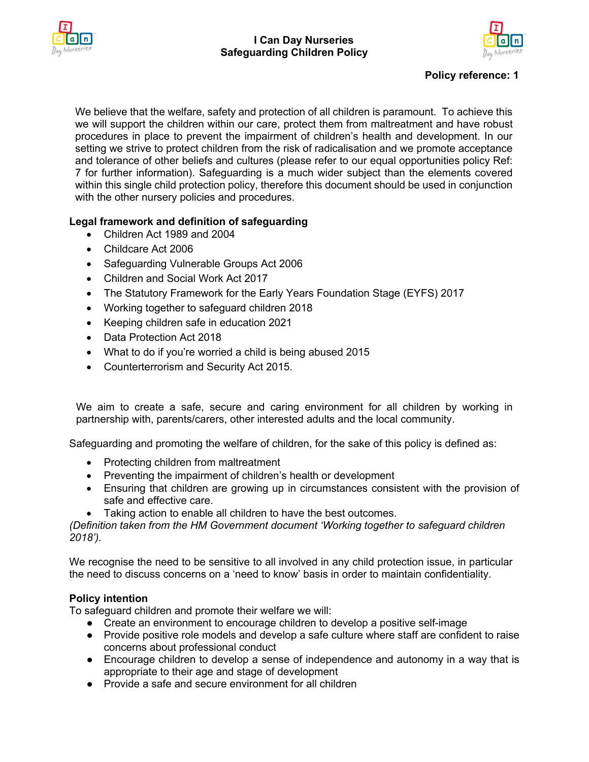



## **Policy reference: 1**

We believe that the welfare, safety and protection of all children is paramount. To achieve this we will support the children within our care, protect them from maltreatment and have robust procedures in place to prevent the impairment of children's health and development. In our setting we strive to protect children from the risk of radicalisation and we promote acceptance and tolerance of other beliefs and cultures (please refer to our equal opportunities policy Ref: 7 for further information). Safeguarding is a much wider subject than the elements covered within this single child protection policy, therefore this document should be used in conjunction with the other nursery policies and procedures.

## **Legal framework and definition of safeguarding**

- Children Act 1989 and 2004
- Childcare Act 2006
- Safeguarding Vulnerable Groups Act 2006
- Children and Social Work Act 2017
- The Statutory Framework for the Early Years Foundation Stage (EYFS) 2017
- Working together to safeguard children 2018
- Keeping children safe in education 2021
- Data Protection Act 2018
- What to do if you're worried a child is being abused 2015
- Counterterrorism and Security Act 2015.

We aim to create a safe, secure and caring environment for all children by working in partnership with, parents/carers, other interested adults and the local community.

Safeguarding and promoting the welfare of children, for the sake of this policy is defined as:

- Protecting children from maltreatment
- Preventing the impairment of children's health or development
- Ensuring that children are growing up in circumstances consistent with the provision of safe and effective care.
- Taking action to enable all children to have the best outcomes.

*(Definition taken from the HM Government document 'Working together to safeguard children 2018').*

We recognise the need to be sensitive to all involved in any child protection issue, in particular the need to discuss concerns on a 'need to know' basis in order to maintain confidentiality.

## **Policy intention**

To safeguard children and promote their welfare we will:

- Create an environment to encourage children to develop a positive self-image
- Provide positive role models and develop a safe culture where staff are confident to raise concerns about professional conduct
- Encourage children to develop a sense of independence and autonomy in a way that is appropriate to their age and stage of development
- Provide a safe and secure environment for all children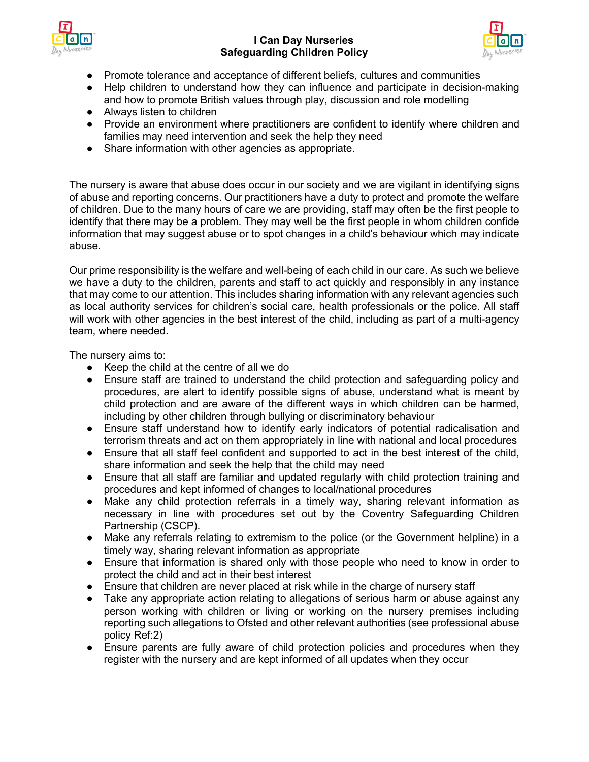



- Promote tolerance and acceptance of different beliefs, cultures and communities
- Help children to understand how they can influence and participate in decision-making and how to promote British values through play, discussion and role modelling
- Always listen to children
- Provide an environment where practitioners are confident to identify where children and families may need intervention and seek the help they need
- Share information with other agencies as appropriate.

The nursery is aware that abuse does occur in our society and we are vigilant in identifying signs of abuse and reporting concerns. Our practitioners have a duty to protect and promote the welfare of children. Due to the many hours of care we are providing, staff may often be the first people to identify that there may be a problem. They may well be the first people in whom children confide information that may suggest abuse or to spot changes in a child's behaviour which may indicate abuse.

Our prime responsibility is the welfare and well-being of each child in our care. As such we believe we have a duty to the children, parents and staff to act quickly and responsibly in any instance that may come to our attention. This includes sharing information with any relevant agencies such as local authority services for children's social care, health professionals or the police. All staff will work with other agencies in the best interest of the child, including as part of a multi-agency team, where needed.

The nursery aims to:

- Keep the child at the centre of all we do
- Ensure staff are trained to understand the child protection and safeguarding policy and procedures, are alert to identify possible signs of abuse, understand what is meant by child protection and are aware of the different ways in which children can be harmed, including by other children through bullying or discriminatory behaviour
- Ensure staff understand how to identify early indicators of potential radicalisation and terrorism threats and act on them appropriately in line with national and local procedures
- Ensure that all staff feel confident and supported to act in the best interest of the child, share information and seek the help that the child may need
- Ensure that all staff are familiar and updated regularly with child protection training and procedures and kept informed of changes to local/national procedures
- Make any child protection referrals in a timely way, sharing relevant information as necessary in line with procedures set out by the Coventry Safeguarding Children Partnership (CSCP).
- Make any referrals relating to extremism to the police (or the Government helpline) in a timely way, sharing relevant information as appropriate
- Ensure that information is shared only with those people who need to know in order to protect the child and act in their best interest
- Ensure that children are never placed at risk while in the charge of nursery staff
- Take any appropriate action relating to allegations of serious harm or abuse against any person working with children or living or working on the nursery premises including reporting such allegations to Ofsted and other relevant authorities (see professional abuse policy Ref:2)
- Ensure parents are fully aware of child protection policies and procedures when they register with the nursery and are kept informed of all updates when they occur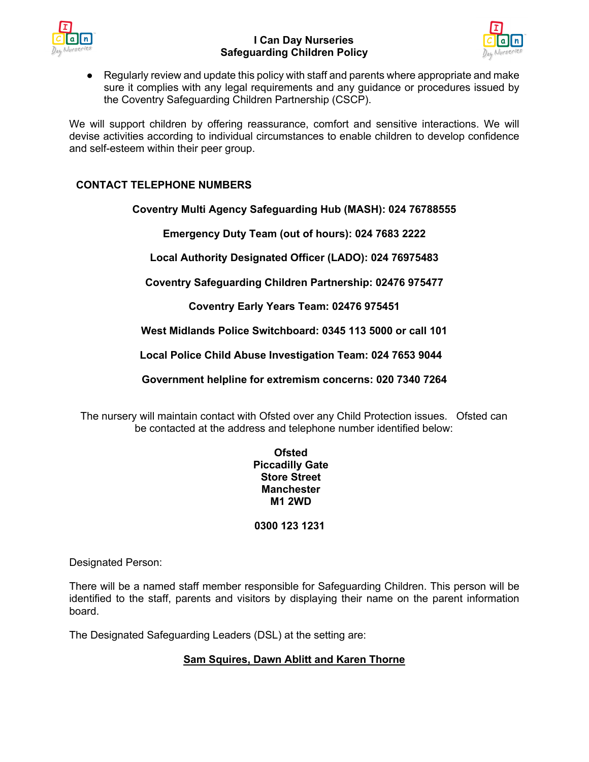



● Regularly review and update this policy with staff and parents where appropriate and make sure it complies with any legal requirements and any guidance or procedures issued by the Coventry Safeguarding Children Partnership (CSCP).

We will support children by offering reassurance, comfort and sensitive interactions. We will devise activities according to individual circumstances to enable children to develop confidence and self-esteem within their peer group.

# **CONTACT TELEPHONE NUMBERS**

**Coventry Multi Agency Safeguarding Hub (MASH): 024 76788555**

**Emergency Duty Team (out of hours): 024 7683 2222**

**Local Authority Designated Officer (LADO): 024 76975483**

**Coventry Safeguarding Children Partnership: 02476 975477**

**Coventry Early Years Team: 02476 975451**

**West Midlands Police Switchboard: 0345 113 5000 or call 101**

**Local Police Child Abuse Investigation Team: 024 7653 9044**

**Government helpline for extremism concerns: 020 7340 7264**

The nursery will maintain contact with Ofsted over any Child Protection issues. Ofsted can be contacted at the address and telephone number identified below:

### **Ofsted Piccadilly Gate Store Street Manchester M1 2WD**

# **0300 123 1231**

Designated Person:

There will be a named staff member responsible for Safeguarding Children. This person will be identified to the staff, parents and visitors by displaying their name on the parent information board.

The Designated Safeguarding Leaders (DSL) at the setting are:

# **Sam Squires, Dawn Ablitt and Karen Thorne**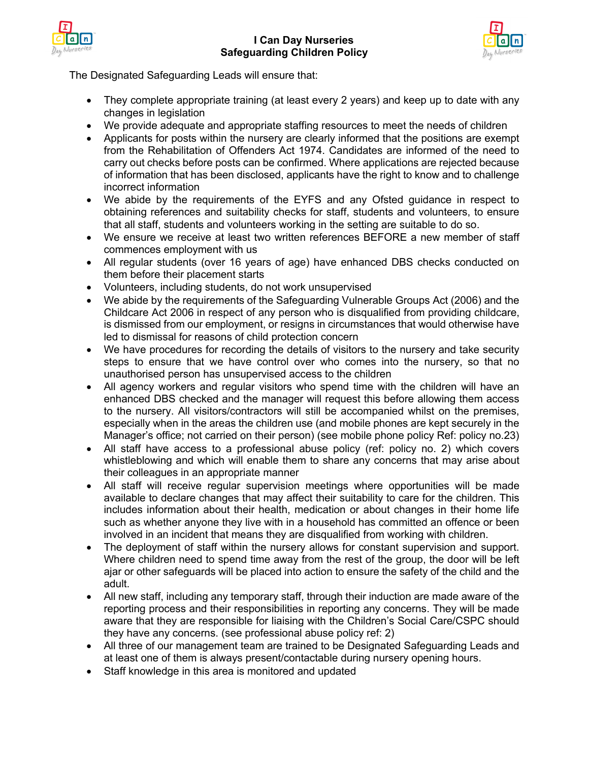



The Designated Safeguarding Leads will ensure that:

- They complete appropriate training (at least every 2 years) and keep up to date with any changes in legislation
- We provide adequate and appropriate staffing resources to meet the needs of children
- Applicants for posts within the nursery are clearly informed that the positions are exempt from the Rehabilitation of Offenders Act 1974. Candidates are informed of the need to carry out checks before posts can be confirmed. Where applications are rejected because of information that has been disclosed, applicants have the right to know and to challenge incorrect information
- We abide by the requirements of the EYFS and any Ofsted guidance in respect to obtaining references and suitability checks for staff, students and volunteers, to ensure that all staff, students and volunteers working in the setting are suitable to do so.
- We ensure we receive at least two written references BEFORE a new member of staff commences employment with us
- All regular students (over 16 years of age) have enhanced DBS checks conducted on them before their placement starts
- Volunteers, including students, do not work unsupervised
- We abide by the requirements of the Safeguarding Vulnerable Groups Act (2006) and the Childcare Act 2006 in respect of any person who is disqualified from providing childcare, is dismissed from our employment, or resigns in circumstances that would otherwise have led to dismissal for reasons of child protection concern
- We have procedures for recording the details of visitors to the nursery and take security steps to ensure that we have control over who comes into the nursery, so that no unauthorised person has unsupervised access to the children
- All agency workers and regular visitors who spend time with the children will have an enhanced DBS checked and the manager will request this before allowing them access to the nursery. All visitors/contractors will still be accompanied whilst on the premises, especially when in the areas the children use (and mobile phones are kept securely in the Manager's office; not carried on their person) (see mobile phone policy Ref: policy no.23)
- All staff have access to a professional abuse policy (ref: policy no. 2) which covers whistleblowing and which will enable them to share any concerns that may arise about their colleagues in an appropriate manner
- All staff will receive regular supervision meetings where opportunities will be made available to declare changes that may affect their suitability to care for the children. This includes information about their health, medication or about changes in their home life such as whether anyone they live with in a household has committed an offence or been involved in an incident that means they are disqualified from working with children.
- The deployment of staff within the nursery allows for constant supervision and support. Where children need to spend time away from the rest of the group, the door will be left ajar or other safeguards will be placed into action to ensure the safety of the child and the adult.
- All new staff, including any temporary staff, through their induction are made aware of the reporting process and their responsibilities in reporting any concerns. They will be made aware that they are responsible for liaising with the Children's Social Care/CSPC should they have any concerns. (see professional abuse policy ref: 2)
- All three of our management team are trained to be Designated Safeguarding Leads and at least one of them is always present/contactable during nursery opening hours.
- Staff knowledge in this area is monitored and updated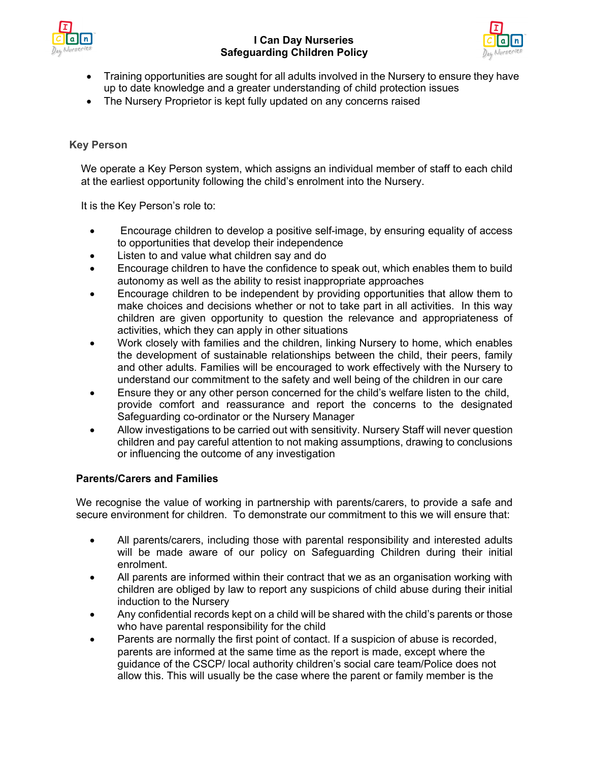



- Training opportunities are sought for all adults involved in the Nursery to ensure they have up to date knowledge and a greater understanding of child protection issues
- The Nursery Proprietor is kept fully updated on any concerns raised

### **Key Person**

We operate a Key Person system, which assigns an individual member of staff to each child at the earliest opportunity following the child's enrolment into the Nursery.

It is the Key Person's role to:

- Encourage children to develop a positive self-image, by ensuring equality of access to opportunities that develop their independence
- Listen to and value what children say and do
- Encourage children to have the confidence to speak out, which enables them to build autonomy as well as the ability to resist inappropriate approaches
- Encourage children to be independent by providing opportunities that allow them to make choices and decisions whether or not to take part in all activities. In this way children are given opportunity to question the relevance and appropriateness of activities, which they can apply in other situations
- Work closely with families and the children, linking Nursery to home, which enables the development of sustainable relationships between the child, their peers, family and other adults. Families will be encouraged to work effectively with the Nursery to understand our commitment to the safety and well being of the children in our care
- Ensure they or any other person concerned for the child's welfare listen to the child, provide comfort and reassurance and report the concerns to the designated Safeguarding co-ordinator or the Nursery Manager
- Allow investigations to be carried out with sensitivity. Nursery Staff will never question children and pay careful attention to not making assumptions, drawing to conclusions or influencing the outcome of any investigation

## **Parents/Carers and Families**

We recognise the value of working in partnership with parents/carers, to provide a safe and secure environment for children. To demonstrate our commitment to this we will ensure that:

- All parents/carers, including those with parental responsibility and interested adults will be made aware of our policy on Safeguarding Children during their initial enrolment.
- All parents are informed within their contract that we as an organisation working with children are obliged by law to report any suspicions of child abuse during their initial induction to the Nursery
- Any confidential records kept on a child will be shared with the child's parents or those who have parental responsibility for the child
- Parents are normally the first point of contact. If a suspicion of abuse is recorded, parents are informed at the same time as the report is made, except where the guidance of the CSCP/ local authority children's social care team/Police does not allow this. This will usually be the case where the parent or family member is the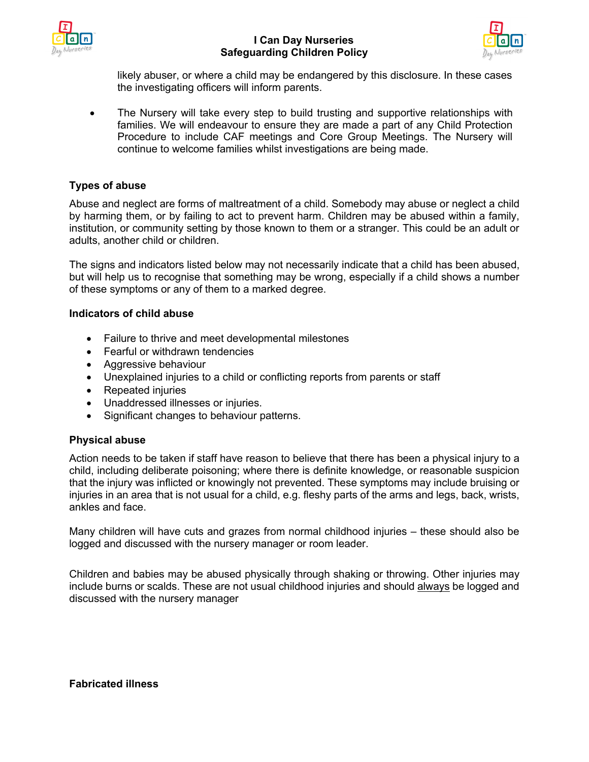



likely abuser, or where a child may be endangered by this disclosure. In these cases the investigating officers will inform parents.

• The Nursery will take every step to build trusting and supportive relationships with families. We will endeavour to ensure they are made a part of any Child Protection Procedure to include CAF meetings and Core Group Meetings. The Nursery will continue to welcome families whilst investigations are being made.

## **Types of abuse**

Abuse and neglect are forms of maltreatment of a child. Somebody may abuse or neglect a child by harming them, or by failing to act to prevent harm. Children may be abused within a family, institution, or community setting by those known to them or a stranger. This could be an adult or adults, another child or children.

The signs and indicators listed below may not necessarily indicate that a child has been abused, but will help us to recognise that something may be wrong, especially if a child shows a number of these symptoms or any of them to a marked degree.

#### **Indicators of child abuse**

- Failure to thrive and meet developmental milestones
- Fearful or withdrawn tendencies
- Aggressive behaviour
- Unexplained injuries to a child or conflicting reports from parents or staff
- Repeated injuries
- Unaddressed illnesses or injuries.
- Significant changes to behaviour patterns.

#### **Physical abuse**

Action needs to be taken if staff have reason to believe that there has been a physical injury to a child, including deliberate poisoning; where there is definite knowledge, or reasonable suspicion that the injury was inflicted or knowingly not prevented. These symptoms may include bruising or injuries in an area that is not usual for a child, e.g. fleshy parts of the arms and legs, back, wrists, ankles and face.

Many children will have cuts and grazes from normal childhood injuries – these should also be logged and discussed with the nursery manager or room leader.

Children and babies may be abused physically through shaking or throwing. Other injuries may include burns or scalds. These are not usual childhood injuries and should always be logged and discussed with the nursery manager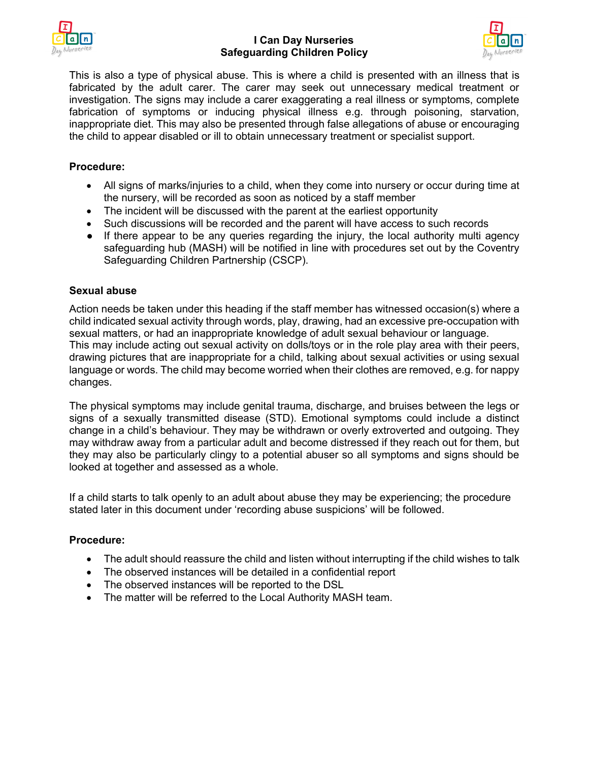



This is also a type of physical abuse. This is where a child is presented with an illness that is fabricated by the adult carer. The carer may seek out unnecessary medical treatment or investigation. The signs may include a carer exaggerating a real illness or symptoms, complete fabrication of symptoms or inducing physical illness e.g. through poisoning, starvation, inappropriate diet. This may also be presented through false allegations of abuse or encouraging the child to appear disabled or ill to obtain unnecessary treatment or specialist support.

## **Procedure:**

- All signs of marks/injuries to a child, when they come into nursery or occur during time at the nursery, will be recorded as soon as noticed by a staff member
- The incident will be discussed with the parent at the earliest opportunity
- Such discussions will be recorded and the parent will have access to such records
- If there appear to be any queries regarding the injury, the local authority multi agency safeguarding hub (MASH) will be notified in line with procedures set out by the Coventry Safeguarding Children Partnership (CSCP).

## **Sexual abuse**

Action needs be taken under this heading if the staff member has witnessed occasion(s) where a child indicated sexual activity through words, play, drawing, had an excessive pre-occupation with sexual matters, or had an inappropriate knowledge of adult sexual behaviour or language. This may include acting out sexual activity on dolls/toys or in the role play area with their peers, drawing pictures that are inappropriate for a child, talking about sexual activities or using sexual language or words. The child may become worried when their clothes are removed, e.g. for nappy changes.

The physical symptoms may include genital trauma, discharge, and bruises between the legs or signs of a sexually transmitted disease (STD). Emotional symptoms could include a distinct change in a child's behaviour. They may be withdrawn or overly extroverted and outgoing. They may withdraw away from a particular adult and become distressed if they reach out for them, but they may also be particularly clingy to a potential abuser so all symptoms and signs should be looked at together and assessed as a whole.

If a child starts to talk openly to an adult about abuse they may be experiencing; the procedure stated later in this document under 'recording abuse suspicions' will be followed.

## **Procedure:**

- The adult should reassure the child and listen without interrupting if the child wishes to talk
- The observed instances will be detailed in a confidential report
- The observed instances will be reported to the DSL
- The matter will be referred to the Local Authority MASH team.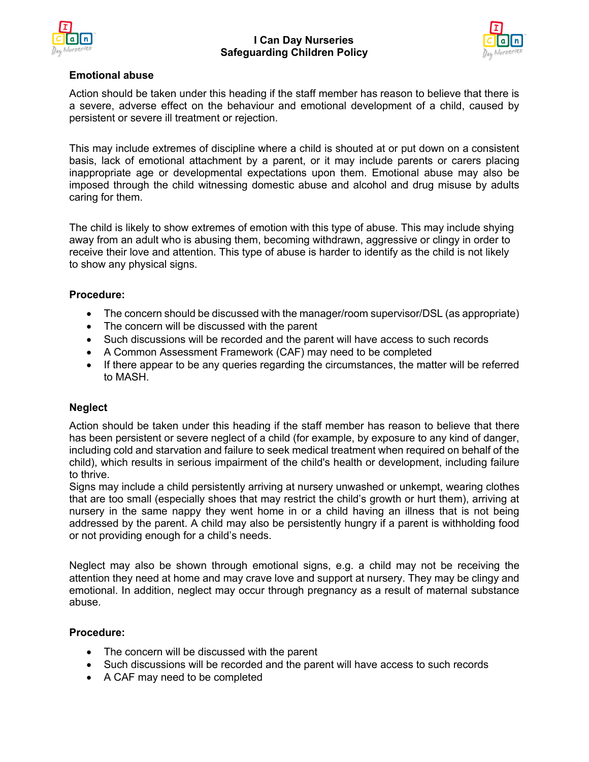



## **Emotional abuse**

Action should be taken under this heading if the staff member has reason to believe that there is a severe, adverse effect on the behaviour and emotional development of a child, caused by persistent or severe ill treatment or rejection.

This may include extremes of discipline where a child is shouted at or put down on a consistent basis, lack of emotional attachment by a parent, or it may include parents or carers placing inappropriate age or developmental expectations upon them. Emotional abuse may also be imposed through the child witnessing domestic abuse and alcohol and drug misuse by adults caring for them.

The child is likely to show extremes of emotion with this type of abuse. This may include shying away from an adult who is abusing them, becoming withdrawn, aggressive or clingy in order to receive their love and attention. This type of abuse is harder to identify as the child is not likely to show any physical signs.

## **Procedure:**

- The concern should be discussed with the manager/room supervisor/DSL (as appropriate)
- The concern will be discussed with the parent
- Such discussions will be recorded and the parent will have access to such records
- A Common Assessment Framework (CAF) may need to be completed
- If there appear to be any queries regarding the circumstances, the matter will be referred to MASH.

# **Neglect**

Action should be taken under this heading if the staff member has reason to believe that there has been persistent or severe neglect of a child (for example, by exposure to any kind of danger, including cold and starvation and failure to seek medical treatment when required on behalf of the child), which results in serious impairment of the child's health or development, including failure to thrive.

Signs may include a child persistently arriving at nursery unwashed or unkempt, wearing clothes that are too small (especially shoes that may restrict the child's growth or hurt them), arriving at nursery in the same nappy they went home in or a child having an illness that is not being addressed by the parent. A child may also be persistently hungry if a parent is withholding food or not providing enough for a child's needs.

Neglect may also be shown through emotional signs, e.g. a child may not be receiving the attention they need at home and may crave love and support at nursery. They may be clingy and emotional. In addition, neglect may occur through pregnancy as a result of maternal substance abuse.

## **Procedure:**

- The concern will be discussed with the parent
- Such discussions will be recorded and the parent will have access to such records
- A CAF may need to be completed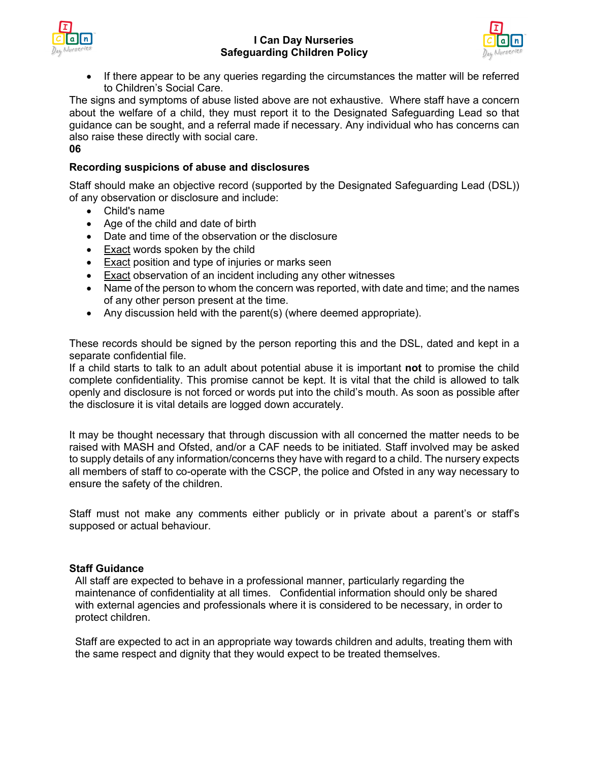



• If there appear to be any queries regarding the circumstances the matter will be referred to Children's Social Care.

The signs and symptoms of abuse listed above are not exhaustive. Where staff have a concern about the welfare of a child, they must report it to the Designated Safeguarding Lead so that guidance can be sought, and a referral made if necessary. Any individual who has concerns can also raise these directly with social care.

**06**

## **Recording suspicions of abuse and disclosures**

Staff should make an objective record (supported by the Designated Safeguarding Lead (DSL)) of any observation or disclosure and include:

- Child's name
- Age of the child and date of birth
- Date and time of the observation or the disclosure
- Exact words spoken by the child
- Exact position and type of injuries or marks seen
- Exact observation of an incident including any other witnesses
- Name of the person to whom the concern was reported, with date and time; and the names of any other person present at the time.
- Any discussion held with the parent(s) (where deemed appropriate).

These records should be signed by the person reporting this and the DSL, dated and kept in a separate confidential file.

If a child starts to talk to an adult about potential abuse it is important **not** to promise the child complete confidentiality. This promise cannot be kept. It is vital that the child is allowed to talk openly and disclosure is not forced or words put into the child's mouth. As soon as possible after the disclosure it is vital details are logged down accurately.

It may be thought necessary that through discussion with all concerned the matter needs to be raised with MASH and Ofsted, and/or a CAF needs to be initiated*.* Staff involved may be asked to supply details of any information/concerns they have with regard to a child. The nursery expects all members of staff to co-operate with the CSCP, the police and Ofsted in any way necessary to ensure the safety of the children.

Staff must not make any comments either publicly or in private about a parent's or staff's supposed or actual behaviour.

## **Staff Guidance**

All staff are expected to behave in a professional manner, particularly regarding the maintenance of confidentiality at all times. Confidential information should only be shared with external agencies and professionals where it is considered to be necessary, in order to protect children.

Staff are expected to act in an appropriate way towards children and adults, treating them with the same respect and dignity that they would expect to be treated themselves.